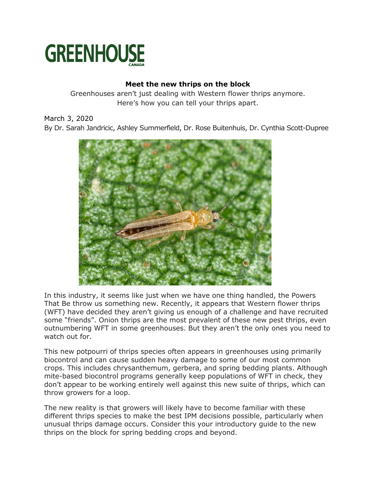

# **Meet the new thrips on the block**

Greenhouses aren't just dealing with Western flower thrips anymore. Here's how you can tell your thrips apart.

March 3, 2020

By Dr. Sarah Jandricic, Ashley Summerfield, Dr. Rose Buitenhuis, Dr. Cynthia Scott-Dupree



In this industry, it seems like just when we have one thing handled, the Powers That Be throw us something new. Recently, it appears that Western flower thrips (WFT) have decided they aren't giving us enough of a challenge and have recruited some "friends". Onion thrips are the most prevalent of these new pest thrips, even outnumbering WFT in some greenhouses. But they aren't the only ones you need to watch out for.

This new potpourri of thrips species often appears in greenhouses using primarily biocontrol and can cause sudden heavy damage to some of our most common crops. This includes chrysanthemum, gerbera, and spring bedding plants. Although mite-based biocontrol programs generally keep populations of WFT in check, they don't appear to be working entirely well against this new suite of thrips, which can throw growers for a loop.

The new reality is that growers will likely have to become familiar with these different thrips species to make the best IPM decisions possible, particularly when unusual thrips damage occurs. Consider this your introductory guide to the new thrips on the block for spring bedding crops and beyond.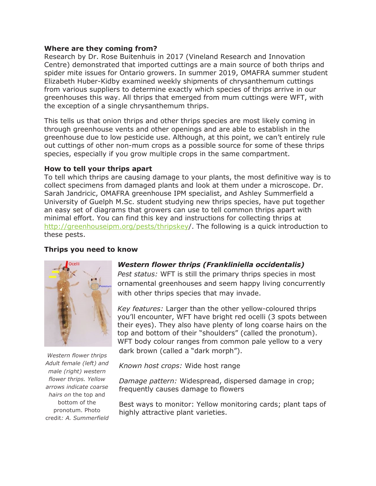#### **Where are they coming from?**

Research by Dr. Rose Buitenhuis in 2017 (Vineland Research and Innovation Centre) demonstrated that imported cuttings are a main source of both thrips and spider mite issues for Ontario growers. In summer 2019, OMAFRA summer student Elizabeth Huber-Kidby examined weekly shipments of chrysanthemum cuttings from various suppliers to determine exactly which species of thrips arrive in our greenhouses this way. All thrips that emerged from mum cuttings were WFT, with the exception of a single chrysanthemum thrips.

This tells us that onion thrips and other thrips species are most likely coming in through greenhouse vents and other openings and are able to establish in the greenhouse due to low pesticide use. Although, at this point, we can't entirely rule out cuttings of other non-mum crops as a possible source for some of these thrips species, especially if you grow multiple crops in the same compartment.

#### **How to tell your thrips apart**

To tell which thrips are causing damage to your plants, the most definitive way is to collect specimens from damaged plants and look at them under a microscope. Dr. Sarah Jandricic, OMAFRA greenhouse IPM specialist, and Ashley Summerfield a University of Guelph M.Sc. student studying new thrips species, have put together an easy set of diagrams that growers can use to tell common thrips apart with minimal effort. You can find this key and instructions for collecting thrips at [http://greenhouseipm.org/pests/thripskey/](http://greenhouseipm.org/pests/thripskey). The following is a quick introduction to these pests.

#### **Thrips you need to know**



*Western flower thrips Adult female (left) and male (right) western flower thrips. Yellow arrows indicate coarse hairs on* the top and bottom of the pronotum. Photo credit*: A. Summerfield*

# *Western flower thrips (Frankliniella occidentalis)*

*Pest status:* WFT is still the primary thrips species in most ornamental greenhouses and seem happy living concurrently with other thrips species that may invade.

*Key features:* Larger than the other yellow-coloured thrips you'll encounter, WFT have bright red ocelli (3 spots between their eyes). They also have plenty of long coarse hairs on the top and bottom of their "shoulders" (called the pronotum). WFT body colour ranges from common pale yellow to a very dark brown (called a "dark morph").

*Known host crops:* Wide host range

*Damage pattern:* Widespread, dispersed damage in crop; frequently causes damage to flowers

Best ways to monitor: Yellow monitoring cards; plant taps of highly attractive plant varieties.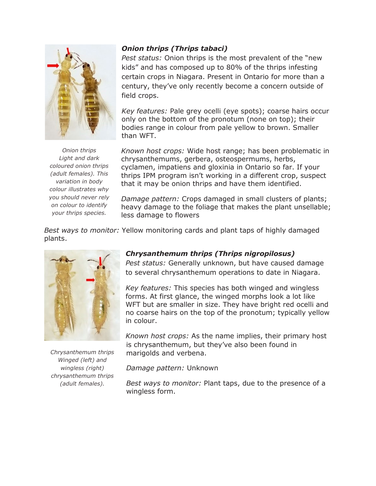

*Onion thrips Light and dark coloured onion thrips (adult females). This variation in body colour illustrates why you should never rely on colour to identify your thrips species.*

*Onion thrips (Thrips tabaci)*

*Pest status:* Onion thrips is the most prevalent of the "new kids" and has composed up to 80% of the thrips infesting certain crops in Niagara. Present in Ontario for more than a century, they've only recently become a concern outside of field crops.

*Key features:* Pale grey ocelli (eye spots); coarse hairs occur only on the bottom of the pronotum (none on top); their bodies range in colour from pale yellow to brown. Smaller than WFT.

*Known host crops:* Wide host range; has been problematic in chrysanthemums, gerbera, osteospermums, herbs, cyclamen, impatiens and gloxinia in Ontario so far. If your thrips IPM program isn't working in a different crop, suspect that it may be onion thrips and have them identified.

*Damage pattern:* Crops damaged in small clusters of plants; heavy damage to the foliage that makes the plant unsellable; less damage to flowers

*Best ways to monitor:* Yellow monitoring cards and plant taps of highly damaged plants.



*Chrysanthemum thrips Winged (left) and wingless (right) chrysanthemum thrips (adult females).*

# *Chrysanthemum thrips (Thrips nigropilosus)*

*Pest status:* Generally unknown, but have caused damage to several chrysanthemum operations to date in Niagara.

*Key features:* This species has both winged and wingless forms. At first glance, the winged morphs look a lot like WFT but are smaller in size. They have bright red ocelli and no coarse hairs on the top of the pronotum; typically yellow in colour.

*Known host crops:* As the name implies, their primary host is chrysanthemum, but they've also been found in marigolds and verbena.

*Damage pattern:* Unknown

*Best ways to monitor:* Plant taps, due to the presence of a wingless form.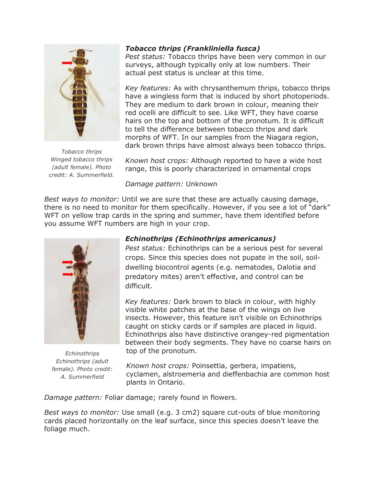

*Tobacco thrips Winged tobacco thrips (adult female). Photo credit: A. Summerfield.*

# *Tobacco thrips (Frankliniella fusca)*

*Pest status:* Tobacco thrips have been very common in our surveys, although typically only at low numbers. Their actual pest status is unclear at this time.

*Key features:* As with chrysanthemum thrips, tobacco thrips have a wingless form that is induced by short photoperiods. They are medium to dark brown in colour, meaning their red ocelli are difficult to see. Like WFT, they have coarse hairs on the top and bottom of the pronotum. It is difficult to tell the difference between tobacco thrips and dark morphs of WFT. In our samples from the Niagara region, dark brown thrips have almost always been tobacco thrips.

*Known host crops:* Although reported to have a wide host range, this is poorly characterized in ornamental crops

*Damage pattern:* Unknown

*Best ways to monitor:* Until we are sure that these are actually causing damage, there is no need to monitor for them specifically. However, if you see a lot of "dark" WFT on yellow trap cards in the spring and summer, have them identified before you assume WFT numbers are high in your crop.



*Echinothrips Echinothrips (adult female). Photo credit: A. Summerfield*

# *Echinothrips (Echinothrips americanus)*

*Pest status:* Echinothrips can be a serious pest for several crops. Since this species does not pupate in the soil, soildwelling biocontrol agents (e.g. nematodes, Dalotia and predatory mites) aren't effective, and control can be difficult.

*Key features:* Dark brown to black in colour, with highly visible white patches at the base of the wings on live insects. However, this feature isn't visible on Echinothrips caught on sticky cards or if samples are placed in liquid. Echinothrips also have distinctive orangey-red pigmentation between their body segments. They have no coarse hairs on top of the pronotum.

*Known host crops:* Poinsettia, gerbera, impatiens, cyclamen, alstroemeria and dieffenbachia are common host plants in Ontario.

*Damage pattern:* Foliar damage; rarely found in flowers.

*Best ways to monitor:* Use small (e.g. 3 cm2) square cut-outs of blue monitoring cards placed horizontally on the leaf surface, since this species doesn't leave the foliage much.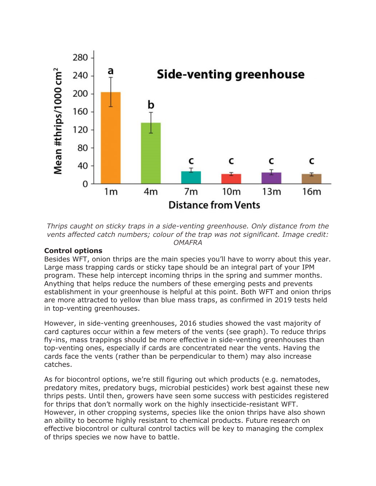

*Thrips caught on sticky traps in a side-venting greenhouse. Only distance from the vents affected catch numbers; colour of the trap was not significant. Image credit: OMAFRA*

# **Control options**

Besides WFT, onion thrips are the main species you'll have to worry about this year. Large mass trapping cards or sticky tape should be an integral part of your IPM program. These help intercept incoming thrips in the spring and summer months. Anything that helps reduce the numbers of these emerging pests and prevents establishment in your greenhouse is helpful at this point. Both WFT and onion thrips are more attracted to yellow than blue mass traps, as confirmed in 2019 tests held in top-venting greenhouses.

However, in side-venting greenhouses, 2016 studies showed the vast majority of card captures occur within a few meters of the vents (see graph). To reduce thrips fly-ins, mass trappings should be more effective in side-venting greenhouses than top-venting ones, especially if cards are concentrated near the vents. Having the cards face the vents (rather than be perpendicular to them) may also increase catches.

As for biocontrol options, we're still figuring out which products (e.g. nematodes, predatory mites, predatory bugs, microbial pesticides) work best against these new thrips pests. Until then, growers have seen some success with pesticides registered for thrips that don't normally work on the highly insecticide-resistant WFT. However, in other cropping systems, species like the onion thrips have also shown an ability to become highly resistant to chemical products. Future research on effective biocontrol or cultural control tactics will be key to managing the complex of thrips species we now have to battle.